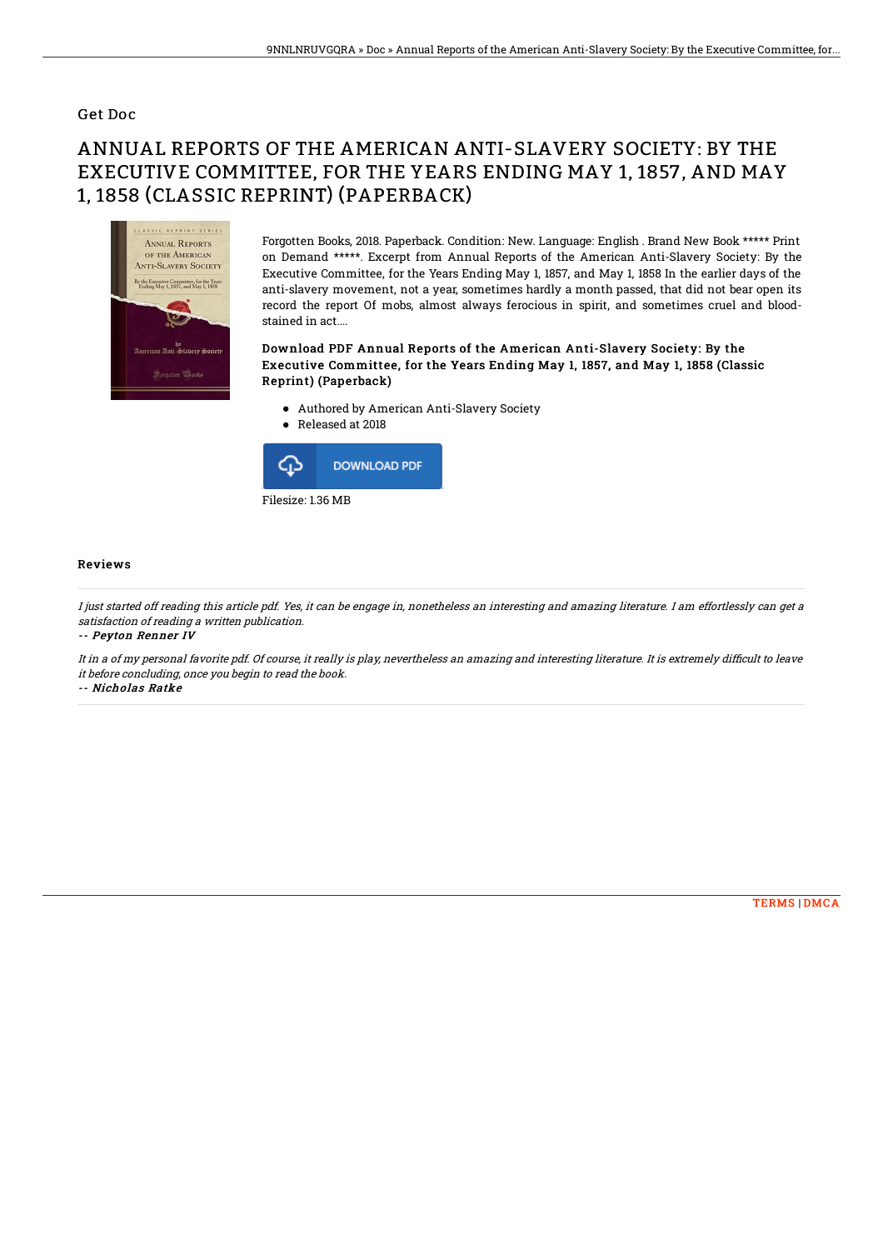### Get Doc

# ANNUAL REPORTS OF THE AMERICAN ANTI-SLAVERY SOCIETY: BY THE EXECUTIVE COMMITTEE, FOR THE YEARS ENDING MAY 1, 1857, AND MAY 1, 1858 (CLASSIC REPRINT) (PAPERBACK)



Forgotten Books, 2018. Paperback. Condition: New. Language: English . Brand New Book \*\*\*\*\* Print on Demand \*\*\*\*\*. Excerpt from Annual Reports of the American Anti-Slavery Society: By the Executive Committee, for the Years Ending May 1, 1857, and May 1, 1858 In the earlier days of the anti-slavery movement, not a year, sometimes hardly a month passed, that did not bear open its record the report Of mobs, almost always ferocious in spirit, and sometimes cruel and bloodstained in act....

#### Download PDF Annual Reports of the American Anti-Slavery Society: By the Executive Committee, for the Years Ending May 1, 1857, and May 1, 1858 (Classic Reprint) (Paperback)

- Authored by American Anti-Slavery Society
- Released at 2018  $\bullet$



#### Reviews

I just started off reading this article pdf. Yes, it can be engage in, nonetheless an interesting and amazing literature. I am effortlessly can get <sup>a</sup> satisfaction of reading <sup>a</sup> written publication.

-- Peyton Renner IV

It in a of my personal favorite pdf. Of course, it really is play, nevertheless an amazing and interesting literature. It is extremely difficult to leave it before concluding, once you begin to read the book.

-- Nicholas Ratke